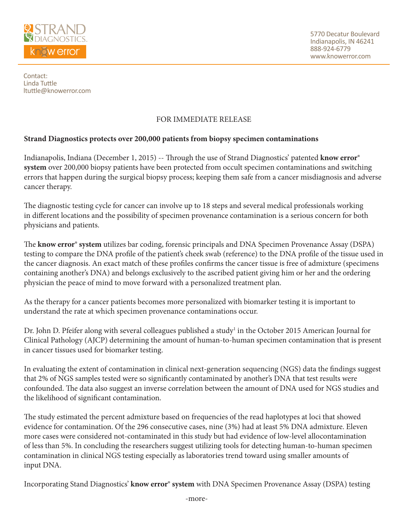

Contact: Linda Tuttle ltuttle@knowerror.com

## FOR IMMEDIATE RELEASE

## **Strand Diagnostics protects over 200,000 patients from biopsy specimen contaminations**

Indianapolis, Indiana (December 1, 2015) -- Through the use of Strand Diagnostics' patented **know error® system** over 200,000 biopsy patients have been protected from occult specimen contaminations and switching errors that happen during the surgical biopsy process; keeping them safe from a cancer misdiagnosis and adverse cancer therapy.

The diagnostic testing cycle for cancer can involve up to 18 steps and several medical professionals working in different locations and the possibility of specimen provenance contamination is a serious concern for both physicians and patients.

The **know error® system** utilizes bar coding, forensic principals and DNA Specimen Provenance Assay (DSPA) testing to compare the DNA profile of the patient's cheek swab (reference) to the DNA profile of the tissue used in the cancer diagnosis. An exact match of these profiles confirms the cancer tissue is free of admixture (specimens containing another's DNA) and belongs exclusively to the ascribed patient giving him or her and the ordering physician the peace of mind to move forward with a personalized treatment plan.

As the therapy for a cancer patients becomes more personalized with biomarker testing it is important to understand the rate at which specimen provenance contaminations occur.

Dr. John D. Pfeifer along with several colleagues published a study<sup>1</sup> in the October 2015 American Journal for Clinical Pathology (AJCP) determining the amount of human-to-human specimen contamination that is present in cancer tissues used for biomarker testing.

In evaluating the extent of contamination in clinical next-generation sequencing (NGS) data the findings suggest that 2% of NGS samples tested were so significantly contaminated by another's DNA that test results were confounded. The data also suggest an inverse correlation between the amount of DNA used for NGS studies and the likelihood of significant contamination.

The study estimated the percent admixture based on frequencies of the read haplotypes at loci that showed evidence for contamination. Of the 296 consecutive cases, nine (3%) had at least 5% DNA admixture. Eleven more cases were considered not-contaminated in this study but had evidence of low-level allocontamination of less than 5%. In concluding the researchers suggest utilizing tools for detecting human-to-human specimen contamination in clinical NGS testing especially as laboratories trend toward using smaller amounts of input DNA.

Incorporating Stand Diagnostics' **know error® system** with DNA Specimen Provenance Assay (DSPA) testing